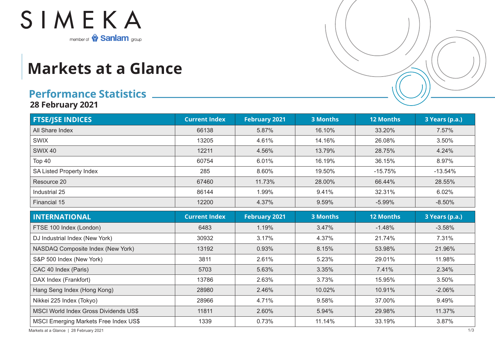

## **Markets at a Glance**

## **Performance Statistics**

**28 February 2021**

| <b>FTSE/JSE INDICES</b>                      | <b>Current Index</b> | <b>February 2021</b> | <b>3 Months</b> | <b>12 Months</b> | 3 Years (p.a.) |
|----------------------------------------------|----------------------|----------------------|-----------------|------------------|----------------|
| All Share Index                              | 66138                | 5.87%                | 16.10%          | 33.20%           | 7.57%          |
| <b>SWIX</b>                                  | 13205                | 4.61%                | 14.16%          | 26.08%           | 3.50%          |
| <b>SWIX 40</b>                               | 12211                | 4.56%                | 13.79%          | 28.75%           | 4.24%          |
| Top 40                                       | 60754                | 6.01%                | 16.19%          | 36.15%           | 8.97%          |
| SA Listed Property Index                     | 285                  | 8.60%                | 19.50%          | $-15.75%$        | $-13.54%$      |
| Resource 20                                  | 67460                | 11.73%               | 28.00%          | 66.44%           | 28.55%         |
| Industrial 25                                | 86144                | 1.99%                | 9.41%           | 32.31%           | 6.02%          |
| Financial 15                                 | 12200                | 4.37%                | 9.59%           | $-5.99%$         | $-8.50%$       |
| <b>INTERNATIONAL</b>                         | <b>Current Index</b> | <b>February 2021</b> | <b>3 Months</b> | <b>12 Months</b> | 3 Years (p.a.) |
| FTSE 100 Index (London)                      | 6483                 | 1.19%                | 3.47%           | $-1.48%$         | $-3.58%$       |
| DJ Industrial Index (New York)               | 30932                | 3.17%                | 4.37%           | 21.74%           | 7.31%          |
| NASDAQ Composite Index (New York)            | 13192                | 0.93%                | 8.15%           | 53.98%           | 21.96%         |
| S&P 500 Index (New York)                     | 3811                 | 2.61%                | 5.23%           | 29.01%           | 11.98%         |
| CAC 40 Index (Paris)                         | 5703                 | 5.63%                | 3.35%           | 7.41%            | 2.34%          |
| DAX Index (Frankfort)                        | 13786                | 2.63%                | 3.73%           | 15.95%           | 3.50%          |
| Hang Seng Index (Hong Kong)                  | 28980                | 2.46%                | 10.02%          | 10.91%           | $-2.06%$       |
| Nikkei 225 Index (Tokyo)                     | 28966                | 4.71%                | 9.58%           | 37.00%           | 9.49%          |
| <b>MSCI World Index Gross Dividends US\$</b> | 11811                | 2.60%                | 5.94%           | 29.98%           | 11.37%         |
| MSCI Emerging Markets Free Index US\$        | 1339                 | 0.73%                | 11.14%          | 33.19%           | 3.87%          |

Markets at a Glance | 28 February 2021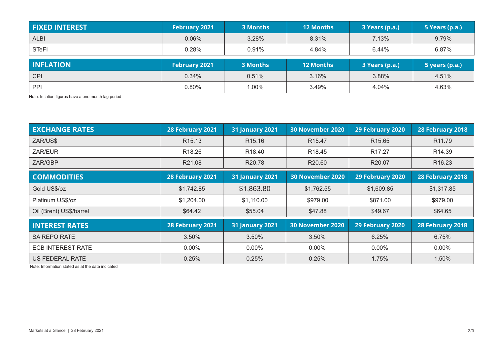| <b>FIXED INTEREST</b> | <b>February 2021</b> | 3 Months        | <b>12 Months</b> | 3 Years (p.a.) | 5 Years (p.a.) |
|-----------------------|----------------------|-----------------|------------------|----------------|----------------|
| <b>ALBI</b>           | 0.06%                | 3.28%           | 8.31%            | 7.13%          | 9.79%          |
| <b>STeFI</b>          | 0.28%                | 0.91%           | 4.84%            | 6.44%          | 6.87%          |
|                       |                      |                 |                  |                |                |
| <b>INFLATION</b>      | <b>February 2021</b> | <b>3 Months</b> | <b>12 Months</b> | 3 Years (p.a.) | 5 years (p.a.) |
| <b>CPI</b>            | 0.34%                | 0.51%           | 3.16%            | 3.88%          | 4.51%          |

Note: Inflation figures have a one month lag period

| <b>EXCHANGE RATES</b>    | 28 February 2021   | <b>31 January 2021</b> | <b>30 November 2020</b> | 29 February 2020   |                    |
|--------------------------|--------------------|------------------------|-------------------------|--------------------|--------------------|
| ZAR/US\$                 | R <sub>15.13</sub> | R <sub>15.16</sub>     | R <sub>15.47</sub>      | R <sub>15.65</sub> | R <sub>11.79</sub> |
| ZAR/EUR                  | R <sub>18.26</sub> | R <sub>18.40</sub>     | R <sub>18.45</sub>      | R <sub>17.27</sub> | R <sub>14.39</sub> |
| ZAR/GBP                  | R21.08             | R <sub>20.78</sub>     | R20.60                  | R <sub>20.07</sub> | R <sub>16.23</sub> |
| <b>COMMODITIES</b>       | 28 February 2021   | <b>31 January 2021</b> | <b>30 November 2020</b> | 29 February 2020   | 28 February 2018   |
| Gold US\$/oz             | \$1,742.85         | \$1,863.80             | \$1,762.55              | \$1,609.85         | \$1,317.85         |
| Platinum US\$/oz         | \$1,204.00         | \$1,110.00             | \$979.00                | \$871.00           | \$979.00           |
| Oil (Brent) US\$/barrel  | \$64.42            | \$55.04                | \$47.88                 | \$49.67            | \$64.65            |
| <b>INTEREST RATES</b>    | 28 February 2021   | <b>31 January 2021</b> | <b>30 November 2020</b> | 29 February 2020   | 28 February 2018   |
| <b>SA REPO RATE</b>      | 3.50%              | 3.50%                  | 3.50%                   | 6.25%              |                    |
| <b>ECB INTEREST RATE</b> | $0.00\%$           | $0.00\%$               | $0.00\%$                | $0.00\%$           | $0.00\%$           |
| US FEDERAL RATE          | 0.25%              | 0.25%                  | 0.25%                   | 1.75%              | 1.50%              |

Note: Information stated as at the date indicated